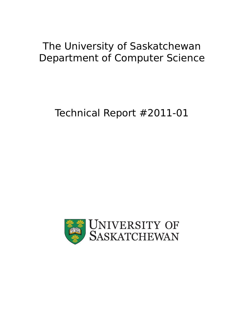# The University of Saskatchewan Department of Computer Science

# Technical Report #2011-01

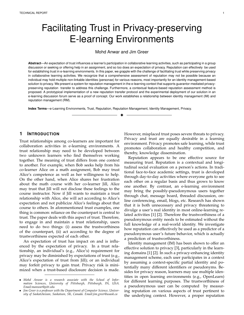# Facilitating Trust in Privacy-preserving E-learning Environments

Mohd Anwar and Jim Greer

**Abstract**—An expectation of trust influences a learner's participation in collaborative learning activities, such as participating in a group discussion or seeking or offering help in an assignment, and so too does an expectation of privacy. Reputation can effectively be used for establishing trust in e-learning environments. In this paper, we grapple with the challenge of facilitating trust while preserving privacy in collaborative learning activities. We recognize that a comprehensive assessment of reputation may not be possible because an individual may hold multiple non-linkable identities (personae) for various reasons, most importantly for an identity management-based solution to privacy. We present a system for reputation management in the e-learning context that supports guarantor-mediated privacypreserving reputation transfer to address this challenge. Furthermore, a contextual feature-based reputation assessment method is proposed. A prototypical implementation of a new reputation transfer protocol and the experimental deployment of our solution in an e-learning discussion forum serve as a proof of concept. Our work establishes a relationship between identity management (IM) and reputation management (RM).

✦

**Index Terms**—e-Learning Environments, Trust, Reputation, Reputation Management, Identity Management, Privacy.

### **1 INTRODUCTION**

Trust relationships among co-learners are important for collaboration activities in e-learning environments. A trust relationship may need to be developed between two unknown learners who find themselves working together. The meaning of trust differs from one context to another. For example, when Bob seeks help from his co-learner Alice on a math assignment, Bob may trust Alice's competence as well as her willingness to help. On the other hand, when Alice shares her frustration about the math course with her co-learner Jill, Alice may trust that Jill will not disclose these feelings to the course instructor. Now if Jill wants to maintain a trust relationship with Alice, she will act according to Alice's expectation and not publicize Alice's feelings about that course to others. In aforementioned trust examples, one thing is common: reliance on the counterpart is central to trust. The paper deals with this aspect of trust. Therefore, to engage in and maintain a trust relationship, users need to do two things: (i) assess the trustworthiness of the counterpart, (ii) act according to the degree of trustworthiness expected of each other.

An expectation of trust has impact on and is influenced by the expectation of privacy. In a trust relationship, an individual's (e.g., Alice's) requirement for privacy may be diminished by expectations of trust (e.g., Alice's expectation of trust from Jill); or an individual may forfeit privacy to gain trust. Privacy risk is minimized when a trust-based disclosure decision is made. However, misplaced trust poses severe threats to privacy. Privacy and trust are equally desirable in a learning environment. Privacy promotes safe learning, while trust promotes collaboration and healthy competition, and thereby, knowledge dissemination.

Reputation appears to be one effective source for measuring trust. Reputation is a contextual and longitudinal social evaluation on a person's actions. In traditional face-to-face academic settings, trust is developed through day-to-day activities where everyone gets to see each other on a regular basis and thus grows to know one another. By contrast, an e-learning environment may bring the possibly-pseudonymous users together through chat, message board, threaded discussion, online conferencing, email, blogs, etc. Research has shown that it is both unnecessary and privacy threatening to divulge a user's real identity in most online-learning related activities [1] [2]. Therefore the trustworthiness of a pseudonymous entity needs to be estimated without the full knowledge of a real-world identity. We investigate how reputation can effectively be used as a predictor of a pseudonymous user's future behavior, which is actually a prediction of trustworthiness.

Identity management (IM) has been shown to offer an effective solution to privacy [3], particularly in the learning domains [1] [2]. In such a privacy-enhancing identity management scheme, each user participates in a context by assuming a context-specific partial identity and potentially many different identifiers or pseudonyms. Besides for privacy reason, learners may use multiple identities in open learning environments (e.g., OpenLearn) for different learning purposes. The trustworthiness of a pseudonymous user can be computed by measuring reputation on various aspects of trust pertinent to the underlying context. However, a proper reputation

<sup>•</sup> *Mohd Anwar is a research associate with the School of Information Sciences, University of Pittsburgh, Pittsburgh, PA, USA. Email:manwar@pitt.edu*

<sup>•</sup> *Jim Greer is a professor with the Department of Computer Science, University of Saskatchewan, Saskatoon, SK, Canada. Email:jim.greer@usask.ca*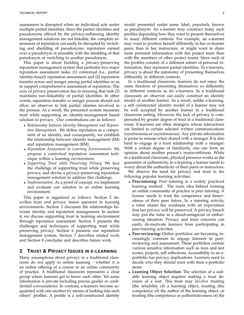assessment is disrupted when an individual acts under multiple partial identities. Since the partial identities and pseudonyms offered by the privacy-enhancing identity management solutions are not linkable, the complete assessment of reputation can easily be disrupted by switching and shedding of pseudonyms: reputation earned over a pseudonym is unusable with the shedding of that pseudonym or switching to another pseudonym.

This paper is about building a privacy-preserving reputation management system that performs two major reputation assessment tasks: (1) contextual (i.e., partial identity-based) reputation assessment and (2) reputation transfer across and merger among partial identities so as to support comprehensive assessment of reputation. The crux of privacy preservation lies in ensuring that task (2) maintains non-linkability of partial identities. In other words, reputation transfer or merger process should not allow an observer to link partial identies involved in the process. As a result, the presented system measures trust while supporting an identity-management based solution to privacy. Our contributions are as follows:

- *Relationship between Identity Management and Reputation Management.* We define reputation as a component of an identity, and consequently, we establish the relationship between identity management (IM) and reputation management (RM).
- *Reputation Assessment in Learning Environments.* We propose a contextual reputation assessment technique within a learning environment.
- *Supporting Trust while Preserving Privacy.* We face the challenge of supporting trust while preserving privacy, and devise a privacy-preserving reputation management solution to address this challenge.
- *Implementation*. As a proof of concept, we implement and evaluate our solution in an online learning environment.

This paper is organized as follows. Section 2 describes trust and privacy issues apparent in learning environments. Section 3 discusses the relationships between identity and reputation management. In section 4, we discuss supporting trust in learning environment through reputation assessment. Section 5 presents the challenges and techniques of supporting trust while preserving privacy. Section 6 presents our reputation management system. Section 7 describes related work and Section 8 concludes and describes future work.

# **2 TRUST & PRIVACY ISSUES IN E-LEARNING**

Many assumptions about privacy in a traditional classroom do not apply to online learning - whether it is an online offering of a course or an online community of practice. A traditional classroom represents a close group where learners get to know each other. Yet some information is private including precise grades or confidential conversations. In contrast, e-learners become acquainted with one another by means of looking into each others' profiles. A profile is a self-constructed identity model presented under some label, popularly known as pseudonym. An e-learner may construct many such profiles depending how they want to present themselves in many different contexts. For example, an e-learner may want to position herself differently to her co-learner peers than to her instructors, or might want to share more personal information with her project team than with the members of other project teams. Since each of the profiles consists of a different subset of personal information, they represent partial identities. To e-learners, privacy is about the autonomy of presenting themselves differently in different contexts.

In a traditional classroom, learners do not enjoy the same freedom of presenting themselves so differently in different contexts as do e-learners. In a traditional classroom an observer can easily construct an identity model of another learner. As a result, unlike e-learning, a self constructed identity model of a learner may not be well accepted by another learner in a traditional classroom setting. However, the lack of privacy is compensated by greater degree of trust in a traditional classroom. E-learners are often strangers whose interactions are limited to certain selected written communications (synchronous or asynchronous). Any private information is prone to misuse when shared with a stranger. It is also hard to engage in a trust relationship with a stranger. With a certain degree of familiarity, one can form an opinion about another person's trustworthiness. While in a traditional classroom, physical presence works as the guarantor of authenticity, in e-learning a learner needs to worry about the authenticity of their peers or instructors.

We observe the need for privacy and trust in the following popular learning activities:

- **Peer-tutoring:** Peer tutoring is a widely practiced learning method. The main idea behind forming an online community of practice is peer tutoring. A learner needs to trust the competence and benevolence of their peer tutors. In a tutoring activity, a tutee shares her weakness with an expectation that her privacy will be preserved. A privacy breach may put the tutee in a disadvantageous or embarrassing situation. Privacy and trust concerns can easily de-motivate learners from participating in peer-tutoring activities.
- **Peer-reviewing:** Online portfolios are becoming increasingly common to engage learners in peerreviewing and assessment. These portfolios contain various sensitive information such as tests and test scores, projects, self reflections. Accessibility to an eportfolio has privacy implications. Learners need to decide who they should trust with their e-portfolio items.
- **Learning Object Selection:** The selection of a suitable learning object requires making a trust decision of a sort. This trust may involve trusting (the reliability of) a learning object, trusting (the competence of) the author of the learning object, or trusting (the competence or authoritativeness of) the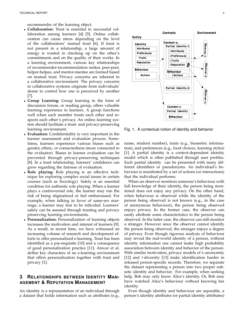recommender of the learning object.

- **Collaboration:** Trust is essential to successful collaboration among learners [4] [5]. Online collaboration can cause stress depending on the level of the collaborators' mutual trust [6]. If trust is not present in a relationship, a large amount of energy is wasted in checking up on the other's commitments and on the quality of their works. In a learning environment, various key relationships of recommender-recommendation seeker, peer-peer, helper-helpee, and mentor-mentee are formed based on mutual trust. Privacy concerns are inherent in a collaborative environment. The privacy concerns in collaborative systems originate from individuals' desire to control how one is perceived by another [7].
- **Group Learning:** Group learning in the form of discussion forum, or reading group, offers valuable learning experience to learners. A group functions well when each member trusts each other and respects each other's privacy. An online learning system should facilitate a trust- and privacy-preserving learning environment.
- **Evaluation:** Confidentiality is very important in the learner assessment and evaluation process. Sometimes, learners experience various biases such as gender, ethnic, or connectedness (more connected to the evaluator). Biases in learner evaluation can be prevented through privacy-preserving techniques [8]. In a trust relationship, learners' confidence can grow regarding the fairness of evaluation.
- **Role playing:** Role playing is an effective technique for exploring complex social issues in certain courses (such as Sociology). Safety is an essential condition for authentic role playing. When a learner plays a controversial role, the learner may run the risk of being stigmatized or feel embarrassed. For example, when talking in favor of same-sex marriage, a learner may fear to be ridiculed. Learners' safety can be assured through trusting and privacy preserving learning environments.
- **Personalization:** Personalization of learning objects increases the motivation and interest of learners [9]. As a result, in recent time, we have witnessed an increasing volume of research and development efforts to offer personalized e-learning. Trust has been identified as a pre-requisite [10] and a consequence of good personalization practice [11]. Anwar et al. define key characters of an e-learning environment that offers personalization together with trust and privacy [1].

# **3 RELATIONSHIPS BETWEEN IDENTITY MAN-AGEMENT & REPUTATION MANAGEMENT**

An identity is a representation of an individual through a dataset that holds information such as attributes (e.g.,



Fig. 1. A contextual notion of identity and behavior

name, student number), traits (e.g., biometric information), and preferences (e.g., food choices, learning styles) [1]. A partial identity is a context-dependent identity model which is often published through user profiles. Each partial identity can be presented with many different identifiers or pseudonyms. An individual's behaviour is manifested by a set of actions (or interactions) that the individual performs.

When an observer monitors someone's behaviour with full knowledge of their identity, the person being monitored does not enjoy any privacy. On the other hand, when behaviour is observed while the identity of the person being observed is not known (e.g., in the case of anonymous behaviour), the person being observed enjoys privacy. In the former case, the observer can easily attribute some characteristics to the person being observed. In the latter case, the observer can still monitor a stranger. However since the observer cannot identify the person being observed, the stranger enjoys a degree of privacy. Even though rigorous analysis of behaviour may reveal the real-world identity of a person, without identity information one cannot make high probability association between identity and behavior of the person. With similar motivation, privacy models of  $k$ -anonymity [12] and *l*-diversity [13] make identification harder in released person-specific records. Therefore, we separate the dataset representing a person into two proper subsets: identity and behavior. For example, when seeking help, Bob may only know Alice's identity. Or, Bob may have watched Alice's behaviour without knowing her identity.

Even though identity and behaviour are separable, a person's identity attributes (or partial identity attributes)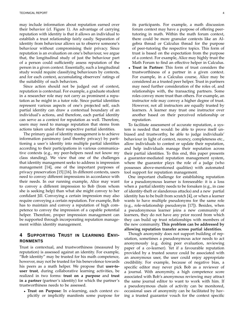may include information about reputation earned over their behavior (cf. Figure 1). An advantage of carrying reputation with identity is that it allows an individual to establish a trust relationship fairly easily. Separation of identity from behaviour allows us to observe someone's behaviour without compromising their privacy. Since reputation is an evaluation on one's behaviour, we argue that, the longitudinal study of just the behaviour part of a person could sufficiently assess reputation of the person in a given context. Essentially, such a longitudinal study would require classifying behaviours by contexts, and for each context, accumulating observers' ratings of the suitability of such behaviors.

Since action should not be judged out of context, reputation is contextual. For example, a graduate student in a researcher role may not carry as prominent a reputation as he might in a tutor role. Since partial identities represent various aspects of one's projected self, each partial identity can draw a contextual boundary of an individual's actions, and therefore, each partial identity can serve as a context for reputation as well. Therefore, users may need to manage reputation that stems from actions taken under their respective partial identities.

The primary goal of identity management is to achieve information parsimony (and thereby privacy) by partitioning a user's identity into multiple partial identities according to their participations in various communicative contexts (e.g., my peer-helpers need not know my class standing). We view that one of the challenges that identity management seeks to address is impression management [14], one of the important purposes of privacy preservation [15] [16]. In different contexts, users need to convey different impressions in accordance with their needs. In our running example, Alice may want to convey a different impression to Bob (from whom she is seeking help) than what she might convey to her confidant Jill. Conveying a certain impression may also require conveying a certain reputation. For example, Bob has to maintain and convey a reputation of high competence to convey the impression of a capable potential helper. Therefore, proper impression management can be supported through incorporating reputation management within identity management.

# **4 SUPPORTING TRUST IN LEARNING ENVI-RONMENTS**

Trust is contextual, and trustworthiness (measured by reputation) is assessed against an identity. For example, "Bob identity" may be trusted for his math competence, however, may not be trusted for his benevolence towards his peers as a math helper. We propose that **user-touser trust**, during collaborative learning activities, be realized in two forms: **trust on a purpose** and **trust in a partner** (partner's identity) for which the partner's trustworthiness needs to be assessed.

• **Trust on Purpose:** In e-learning, each context explicitly or implicitly manifests some purpose for its participants. For example, a math discussion forum context may have a purpose of offering peertutoring in math. Within the math forum context, there could be more granular contexts like an Algebra thread or Calculus thread for the purpose of peer-tutoring the respective topics. This form of trust is based on the expectation from the purpose of a context. For example, Alice may highly trust the Math Forum to find an effective helper in Calculus.

• **Trust in Partner:** This form of trust considers the trustworthiness of a partner in a given context. For example, in a Calculus course, Alice may be considered as a trusted peer helper. Trust in partners may need further consideration of the roles of, and relationships with, the transacting partners. Some roles convey more trust than others. For example, an instructor role may convey a higher degree of trust. However, not all instructors are equally trusted by learners. A learner may trust one instructor over another based on their perceived relationship or reputation.

To facilitate assessment of accurate reputation, a system is needed that would: be able to prove itself unbiased and trustworthy, be able to judge individuals' behaviour in light of context, recency, completeness etc., allow individuals to contest or update their reputation, and help individuals manage their reputation across their partial identities. To this end, this paper presents a guarantor-mediated reputation management system, where the guarantor plays the role of a judge (who possesses above-mentioned qualities) with automated tool support for reputation management.

One important challenge for establishing reputation for a pseudonymous learner is foreseeable: it is a loss when a partial identity needs to be forsaken (e.g., in case of identity-theft or slanderous attacks) and a new partial identity has to be built from scratch [4], or when a learner wants to have multiple pseudonyms for the same role (e.g., role-relationship pseudonym [17]). Besides, when a pseudonymous learner joins a new community of learners, they do not have any prior record from which they can build up trust relationships with members of the new community. **This problem can be addressed by allowing reputation transfer across partial identities.**

Though anonymity does not support building of reputation, sometimes a pseudonymous actor needs to act anonymously (e.g. doing peer evaluation, reviewing paper of a co-learner). Yet if a favourable reputation provided by a trusted source could be associated with an anonymous user, the user could enjoy appropriate credibility. For example, because of negative bias, a specific editor may never pick Bob as a reviewer of a journal. With anonymity, a high competence score associated with Bob's anonymous reviewing may attract the same journal editor to want to work with him. If a pseudonymous chain of activity can be monitored, occasional uses of anonymity can be facilitated by having a trusted guarantor vouch for the context specific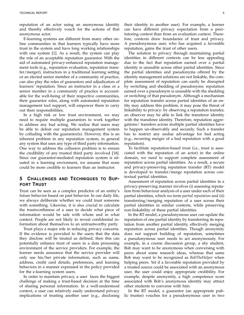reputation of an actor using an anonymous identity and thereby effectively vouch for the actions of that anonymous actor.

E-learning systems are different from many other online communities in that learners typically have more trust in the system and have long working relationships with one system [1]. As a result, the system can play the role of an acceptable reputation guarantor. With the aid of automated privacy-enhanced reputation management tools (e.g., reputation evaluation, reputation transfer/merger), instructors in a traditional learning setting or an elected senior member of a community of practice, can also play the roles of guarantors and adjudicators of learners' reputation. Since an instructor in a class or a senior member in a community of practice is accountable for the well-being of their respective communities, their guarantor roles, along with automated reputation management tool support, will empower them to carry out their responsibilities.

In a high risk or low trust environment, we may need to require multiple guarantors to work together to address any bad acting. We realize that users may be able to defeat our reputation management system by colluding with the guarantor(s). However, this is an inherent problem in any reputation system, in general any system that uses any type of third party information. One way to address the collusion problem is to ensure the credibility of any trusted third party involved [18]. Since our guarantor-mediated reputation system is situated in a learning enviorment, we assume that none could be more credible to learners than an instructor.

# **5 CHALLENGES AND TECHNIQUES TO SUP-PORT TRUST**

Trust can be seen as a complex predictor of an entity's future behavior based on past behavior. In our daily life, we always deliberate whether we could trust someone with something. Likewise, it is also crucial to calculate the trustworthiness of a user to decide what piece of information would be safe with whom and in what context. People are not likely to reveal confidential information about themselves to an untrustworthy party.

Trust plays a major role in reducing privacy concerns. If the evidence is provided to the users that the data they disclose will be treated as defined, then this can potentially enhance trust of users in a data processing environment of the service providers. For example, the learner needs assurance that the service provider will only use his/her private information, such as name, address, credit card details, preferences, and learning behaviors in a manner expressed in the policy provided for the e-learning system users.

In order to maintain privacy, a user faces the biggest challenge of making a trust-based decision at the time of sharing personal information. In a well-understood context, a user can relatively easily understand privacy implications of trusting another user (e.g., disclosing

their identity to another user). For example, a learner can have different privacy expectation from a peertutoring context than from an evaluation context. Therefore, contexts draw boundaries of trust and privacy. A pseudonymous user, who has acquired a favorable reputation, gains the trust of other users.

The solution to privacy through maintaining partial identities in different contexts can be less appealing due to the fact that reputation earned over a partial identity is unusable across other partial identities. Since the partial identities and pseudonyms offered by the identity management solutions are not linkable, the complete assessment of reputation can easily be disrupted by switching and shedding of pseudonyms: reputation earned over a pseudonym is unusable with the shedding or switching of that pseudonym. Although a mechanism for reputation transfer across partial identities of an entity may address this problem, it may pose the threat of linkability to privacy: by observing a reputation transfer, an observer may be able to link the transferor identity with the transferee identity. Therefore, reputation aggregations/ transfers across multiple partial identities have to happen un-observably and securely. Such a transfer has to restrict any undue advantage for bad acting (e.g., recurring merger of a bad reputation with a good reputation).

To facilitate reputation-based trust (i.e., trust is associated with the reputation of an actor) in the online domain, we need to support complete assessment of reputation across partial identities. As a result, a secure and privacy-preserving reputation transfer (RT) model is developed to transfer/merge reputation across contextual partial identities.

Assessment of reputation across partial identities in a privacy-preserving manner involves (i) assessing reputation from behaviour analysis of a user under each of their partial identities, which we term *partial reputation* and (ii) transferring/merging reputation of a user across their partial identities in similar contexts, while preserving non-linkability of these partial identities.

In the RT model, a pseudonymous user can update the reputation of one partial identity by transferring its reputation from another partial identity, effectively merging reputation across partial identities. Though anonymity does not support building of reputation, sometimes a pseudonymous user needs to act anonymously. For example, in a course discussion group, a shy student, Bob may want to be anonymous when conversing with peers about some research ideas, whereas that same Bob may want to be recognized as *BobTheHelper* when helping peers. Yet if a favorable reputation provided by a trusted source could be associated with an anonymous user, the user could enjoy appropriate credibility. For example, despite anonymity, a high competence score associated with Bob's anonymous identity may attract other students to converse with him.

In the RT model, a guarantor (an appropriate public trustee) vouches for a pseudonymous user in two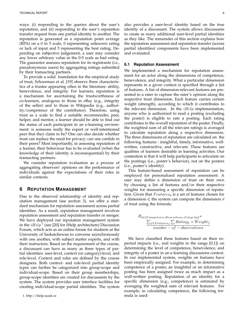ways: (i) responding to the queries about the user's reputation, and (ii) responding to the user's reputation transfer request from one partial identity to another. The reputation is generated as a reputation point average (RPA) on a 0 to 5 scale, 0 representing unknown rating or lack of input and 5 representing the best rating. Depending on subjective judgement, a user may consider any lower arbitrary value in the 0-5 scale as bad rating. The guarantor assesses reputation for its registrants (i.e., pseudonymous users) by aggregating ratings submitted by their transacting partners.

To provide a solid foundation for the empirical study of trust, Schoorman et al. [19] observe three characteristics of a trustee appearing often in the literature: ability, benevolence, and integrity. For learners, reputation is a mechanism for ascertaining the trustworthiness of co-learners, analogous to those in eBay (e.g., integrity of the seller) and to those in Wikipedia (e.g., authority/competence of the contributor). Therefore, using trust as a scale to find a suitable recommender, peer, helper, and mentor, a learner should be able to find out the status of each participant in an e-learning environment: is someone really the expert or well-intentioned peer that they claim to be? One can also decide whether trust can replace the need for privacy: can one confide in their peers? Most importantly, in assessing reputation of a learner, their behaviour has to be evaluated (when the knowledge of their identity is inconsequential) by their transacting partners.

We consider reputation evaluation as a process of aggregating observers' opinions on the performance of individuals against the expectations of their roles in similar contexts.

## **6 REPUTATION MANAGEMENT**

Due to the observed relationship of identity and reputation management (see section 3), we offer a standard mechanism for reputation assessment across partial identities. As a result, reputation management involves reputation assessment and reputation transfer or merger. We have deployed our reputation management system in the  $iHelp$   $^1$  (see [20] for iHelp architecture) Discussion Forum, which acts as an online forum for students at the University of Saskatchewan to converse asynchronously with one another, with subject matter experts, and with their instructors. Based on the requirement of the course, a discussant can have as many as three types of partial identities: user-level, context (or category)-level, and role-level. Context and roles are defined by the course designers. Both context- and role-level partial identity types can further be categorized into group-scope and individual-scope. Based on their group memberships, group-scope identities are created for discussants by the system. The system provides user interface facilities for creating individual-scope partial identities. The system

also provides a user-level identity based on the true identity of a discussant. The system allows discussants to create as many additional user-level partial identities as they like. The remainder of this section explains how the reputation assessment and reputation transfer (across partial identities) components have been implemented and evaluated.

#### **6.1 Reputation Assessment**

We implemented a mechanism for reputation assessment for an actor along the dimensions of competence, benevolence, and integrity. What a particular dimension represents in a given context is specified through a list of features. A list of dimension-relevant features are presented to a rater to capture the rater's opinion along the respective trust dimension. Each feature carries certain weight (strength), according to which it contributes to the relevant dimension. In the  $iHelp$  implementation, anyone who is authorized to read a posting (excluding the poster) is eligible to rate a posting. Each rating contributes to the overall reputation of the poster. Finally, the weighted sum of all the relevant ratings is averaged to calculate reputation along a respective dimension. The three dimensions of reputation are calculated on the following features : insightful, timely, informative, wellwritten, constructive, and relevant. These features are qualities of learners desirable in learning activities. Our contention is that it will help participants to articulate on the postings (i.e., poster's behavior), not on the posters (i.e., poster's identity).

This feature-based assessment of reputation can be employed for personalized reputation assessment. A user may define a dimension of trust on their own by choosing a list of features and/or their respective weights for measuring a specific dimension of reputation. Given that  $Features_d$  is a set of features chosen for a dimension  $d$ , the system can compute the dimension  $d$ of trust using the formula:

$$
R_{d\in\{Complete,Benevolence,Integrity\}} = \frac{\sum_{f\in Features_d}\sum{Rating_f}\times Weight_f}{number - of - observations}
$$

We have classified these features based on their expected impacts (i.e., real weights in the range [0,1]) on determining the level of competence, benevolence, and integrity of a poster in an e-learning discussions context. In our implemented system, weights on features have been empirically assigned. For example, in determining competence of a poster, an insightful or an informative posting has been assigned twice as much impact as a well-written posting. Reputation of an identity for a specific dimension (e.g., competence) is estimated by averaging the weighted sum of relevant features. For example, in calculating competence, the following formula is used: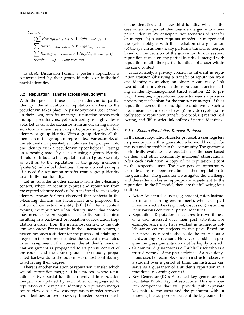Rcompetence*=*  $\left(\sum Rating_{insightful} \times Weight_{insightful} + \right)$  $\sum Rating_{informative}\times Weight_{informative}$  $\sum Rating_{well-written} \times Weight_{well-written})/$  $number - of - observations$ 

In iHelp Discussion Forum, a poster's reputation is contextualized by their group identities or individual partial identities.

#### **6.2 Reputation Transfer across Pseudonyms**

With the persistent use of a pseudonym (a partial identity), the attribution of reputation markers to the pseudonym takes place. A pseudonymous user cannot, on their own, transfer or merge reputation across their multiple pseudonyms, yet such ability is highly desirable. Let us consider scenarios from an e-learning discussion forum where users can participate using individual identity or group identity. With a group identity, all the members of the group are represented. For example, all the students in peer-helper role can be grouped into one identity with a pseudonym "peer-helper". Ratings on a posting made by a user using a group identity should contribute to the reputation of that group identity as well as to the reputation of the group member's (poster's) individual identities. This is a trivial example of a need for reputation transfer from a group identity to an individual identity.

Let us consider another scenario from the e-learning context, where an identity expires and reputation from the expired identity needs to be transferred to an existing identity. Anwar & Greer observed that contexts in the e-learning domain are hierarchical and proposed the notion of contextual identity [21] [17]. As a context expires, the reputation of an identity under that context may need to be propagated back to its parent context resulting in a backward propagation of reputation (reputation transfer) from the innermost context to the outermost context. For example, in the outermost context, a person becomes a student for the purpose of attaining a degree. In the innermost context the student is evaluated in an assignment of a course, the student's mark in that assignment is propagated to its parent context of the course and the course grade is eventually propagated backwards to the outermost context contributing to achieving their degree.

There is another variation of reputation transfer, which we call reputation merger. It is a process where reputation of two partial identities (involved in reputation merger) are updated by each other or aggregated to reputation of a new partial identity. A reputation merger can be viewed as a two-way reputation transfer between two identities or two one-way transfer between each

the same context. Unfortunately, a privacy concern is inherent in reputation transfer. Observing a transfer of reputation from one identity to another, an observer can easily link two identities involved in the reputation transfer, failing an identity-management based solution [22] to privacy. Therefore, a pseudonymous actor needs a privacypreserving mechanism for the transfer or merger of their reputation across their multiple pseudonyms. Such a mechanism has three objectives: (i) provide cryptographically secure reputation transfer protocol, (ii) restrict Bad Acting, and (iii) restrict link-ability of partial identities.

reputation of all other partial identities of a user within

#### *6.2.1 Secure Reputation Transfer Protocol*

In the secure reputation-transfer protocol, a user registers its pseudonym with a guarantor who would vouch for the user and be credible in the community. The guarantor periodically evaluates the reputation of the user based on their and other community members' observations. After each evaluation, a copy of the reputation is sent to the respective user. The user gets an opportunity to contest any misrepresentation of their reputation to the guarantor. The guarantor investigates the challenge and thereafter makes an appropriate adjustment to the reputation. In the RT model, there are the following four entities:

- Actor: An actor is a user (e.g. student, tutor, instructor in an e-learning environment), who takes part in various activities (e.g. chat, discussion) assuming their various contextual partial identities.
- Reputation: Reputation measures trustworthiness of a user assessed over their past activities. For example, Alice may have worked in numerous collaborative course projects in the past. Based on her previous records, she could be trusted as a hardworking participant. However her skills in programming assignments may not be highly trusted.
- Guarantor: A guarantor is a "public" user who is a trusted witness of the past activities of a pseudonymous user. For example, since an instructor observes a student over a period of time, the instructor can serve as a guarantor of a students reputation in a traditional e-learning context.
- Key Generator (KG): A trusted key generator that facilitates Public Key Infrastructure. This is a system component that will provide public/private key pairs to the users and the guarantor without knowing the purpose or usage of the key pairs. The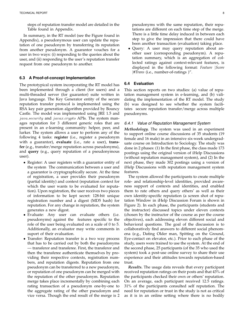steps of reputation transfer model are detailed in the Table found in Appendix.

In summary, in the RT model (see the Figure found in Appendix), a pseudonymous user can update the reputation of one pseudonym by transferring its reputation from another pseudonym. A guarantor vouches for a user in two ways: (i) responding to the queries about the user, and (ii) responding to the user's reputation transfer request from one pseudonym to another.

#### **6.3 A Proof-of-concept Implementation**

The prototypical system incorporating the RT model has been implemented through a client (for users) and a multi-threaded server (for guarantor) suite written in Java language. The Key Generator entity of the secure reputation transfer protocol is implemented using the RSA key pair generation algorithm provided by Bouncy Castle. The model was implemented using JRE 1.5 and java.security and javax.crypto APIs. The system manages reputation for 3 different generic roles that are present in an e-learning community: helper, peer, and lurker. The system allows a user to perform any of the following 4 tasks: **register** (i.e., register a pseudonym with a guarantor), **evaluate** (i.e., rate a user), **transfer** (e.g., transfer/merge reputation across pseudonyms), and **query** (e.g., query reputation of a pseudonymous user).

- Register: A user registers with a guarantor entity of the system The communication between a user and a guarantor is cryptographically secure. At the time of registration, a user provides their pseudonym (partial identity) and context (reputation context for which the user wants to be evaluated for reputation). Upon registration, the user receives two pieces of information to be kept secret: 128-bit unique registration number and a digest (MD5 hash) for reputation. For any change in reputation, the system generates a new digest.
- Evaluate: Any user can evaluate others (i.e. pseudonyms) against the features specific to the role of the user being evaluated on a scale of 0 to 5. Additionally, an evaluator may write comments in suport of their evaluation.
- Transfer: Reputation transfer is a two way process that has to be carried out by both the pseudonyms — transferor and transferee. First, the transferor and then the transferee authenticate themselves by providing their respective contexts, registration numbers, and reputation digests. Reputation from one pseudonym can be transferred to a new pseudonym, or reputation of one pseudonym can be merged with the reputation of the other pseudonym. Reputation merge takes place incrementally by combining each rating transaction of a pseudonym one-by-one to the aggregate rating of the other pseudonym and vice versa. Though the end result of the merge is 2

pseudonyms with the same reputation, their reputations are different on each time step of the merge. There is a little time delay induced in between each step to give the impression that there could have been another transaction (evaluation) taking place.

• Query: A user may query reputation about another user (corresponding pseudonym). A reputation summary, which is an aggregation of collected ratings against context-relevant features, is displayed in the following format: *Feature* |*Score* |*#Trans* (i.e., number-of-ratings )".

#### **6.4 Evaluation**

This section reports on two studies: (a) value of reputation management system in e-learning, and (b) validating the implementation of the RT model. The study (b) was designed to see whether the system facilitates secure reputation transfer/merge across multiple pseudonyms.

#### *6.4.1 Value of Reputation Management System*

*Methodology.* The system was used in an experiment to support online course discussions of 35 students (19 female and 16 male) in an intensive six-week undergraduate course on Introduction to Sociology. The study was done in 2 phases: (1) In the first phase, the class made 173 postings using the original version of iHelp Discussions (without reputation management system), and (2) In the next phase, they made 302 postings using a version of iHelp Discussions with reputation management system features.

The system allowed the participants to create multiple role- and relationship-level identities, provided awareness support of contexts and identities, and enabled them to rate others and query others' as well as their own identity-specific reputation (a screen shot of reputation Window in iHelp Discussion Forum is shown in Figure 2). In each phase, the participants (students and the instructor) discussed topics under eleven contexts (chosen by the instructor of the course as per the course objectives), each addressing eleven different social and behavioral questions. The goal of the discussion is to collaboratively find answers to different social phenomena (e.g., Dating Older man, Spitting on the Ground, Eye-contact on elevator, etc.). Prior to each phase of the study, users were trained to use the system. At the end of the second phase, 25 participants (of the 35 who used the system) took a post-use online survey to share their use experience and their attitudes towards reputation-based trust.

*Results.* The usage data reveals that every participant received reputation ratings on their posts and that 43% of the participants checked their own or others' reputation. On an average, each participant received 12.5 ratings. 31% of the participants consulted self reputation. The need for reputation or trust in the study is not as critical as it is in an online setting where there is no bodily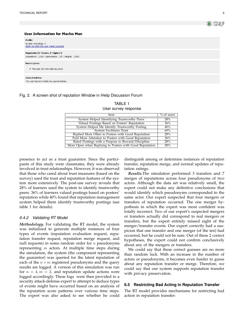#### **User Information for Macho Man**

| Profile:<br>Number of postings: 0<br>Notify me when this user makes a posting                   |
|-------------------------------------------------------------------------------------------------|
| Reputation [1=lowest, 5=highest]:<br>competence : 2.5/5   benevolence : 2/5   integrity : 2.5/5 |
| Recent posts:<br>• This user has not made any posts                                             |
| Journal entries:<br>This user has not written any journal entries.                              |

Fig. 2. A screen shot of reputation Window in iHelp Discussion Forum

| item                                                    | $\sqrt[6]{\circ}$ -of users |
|---------------------------------------------------------|-----------------------------|
| System Helped Identifying Trustworthy Peers             | 28%                         |
| Valued Postings Based on Posters' Reputation            | 36%                         |
| System Helped Me Identify Trustworthy Posting           | 40%                         |
| System Facilitates Trust                                | 60%                         |
| Replied More Often to Posters with Good Reputation      | 28%                         |
| Paid More Attention to Posters with Good Reputation     | 36%                         |
| Rated Postings with a Purpose to Reward/Discipline      | 28%                         |
| More Open when Replying to Posters with Good Reputation | 28%                         |
|                                                         |                             |

TABLE 1 User survey response

presence to act as a trust guarantor. Since the participants of this study were classmates, they were already involved in trust relationships. However, it was observed that those who cared about trust measures (based on the survey) used the trust and reputation features of the system more extensively. The post-use survey reveals that 28% of learners used the system to identify trustworthy peers. 36% of learners valued postings based on posters' reputation while 40% found that reputation management system helped them identify trustworthy postings (see table 1 for details).

#### *6.4.2 Validating RT Model*

*Methodology.* For validating the RT model, the system was initialized to generate multiple instances of four types of events (reputation evaluation request, reputation transfer request, reputation merge request, and null requests) in some random order for  $n$  pseudonyms representing  $m$  actors. At multiple time steps during the simulation, the system (the component representing the guarantor) was queried for the latest reputation of each of the  $n \times m$  registered pseudonyms and the query results are logged. A version of this simulation was run for  $n = 4, m = 2$ , and reputation update actions were logged accordingly. These logs were then provided to a security attack-defense expert to attempt to deduce types of events might have occurred based on an analysis of the reputation score patterns over various time steps. The expert was also asked to see whether he could

distinguish among or determine instances of reputation transfer, reputation merge, and normal updates of reputation ratings.

*Results.*The simulation performed 3 transfers and 7 merges of reputations across four pseudonyms of two actors. Although the data set was relatively small, the expert could not make any definitive conclusions that would identify which pseudonyms corresponded to the same actor. Our expert suspected that four mergers or transfers of reputation occurred. The one merger hypothesis in which the expert was most confident was totally incorrect. Two of our expert's suspected mergers or transfers actually did correspond to real mergers or transfers, but the expert entirely missed eight of the merger/transfer events. Our expert correctly had a suspicion that one transfer and one merger (of the ten) had occurred, but he could not be sure. Out of these 2 correct hypotheses, the expert could not confirm conclusively about any of the mergers or transfers.

We could say that these correct guesses are no more than random luck. With an increase in the number of actors or pseudonyms, it becomes even harder to guess about any reputation transfer or merge. Therefore, we could say that our system supports reputation transfer with privacy preservation.

#### **6.5 Restricting Bad Acting in Reputation Transfer**

The RT model provides mechanisms for restricting bad action in reputation transfer: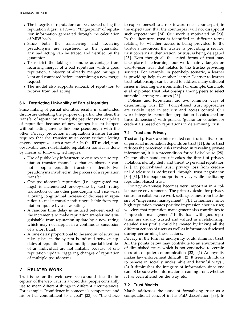- The integrity of reputation can be checked using the reputation digest, a  $128 - bit$  "fingerprint" of reputation information generated through the calculation of MD5 hash.
- Since both the transferring and receiving pseudonyms are registered to the guarantor, any bad acting can be traced and verified by the guarantor.
- To restrict the taking of undue advantage from recurring merger of a bad reputation with a good reputation, a history of already merged ratings is kept and compared before entertaining a new merge request.
- The model also supports rollback of reputation to recover from bad acting.

#### **6.6 Restricting Link-ability of Partial Identities**

Since linking of partial identities results in unintended disclosure defeating the purpose of partial identities, the transfer of reputation among the pseudonyms or update of reputation because of new ratings has to happen without letting anyone link one pseudonym with the other. Privacy protection in reputation transfer further requires that the transfer must occur without letting anyone recognize such a transfer. In the RT model, nonobservable and non-linkable reputation transfer is done by means of following techniques:

- Use of public key infrastructure ensures secure reputation transfer channel so that an observer cannot snoop a reputation transfer or identify two pseudonyms involved in the process of a reputation transfer.
- One pseudonym's reputation (i.e., aggregated ratings) is incremented one-by-one by each rating transaction of the other pseudonym and vice versa allowing longitudinal increase or decrease in reputation to make transfer indistinguishable from reputation update by a new rating.
- A random time delay is induced between each of the increments to make reputation transfer indistinguishable from reputation update by a new rating, which may not happen in a continuous succession of a short burst.
- A time delay proportional to the amount of activities takes place in the system is induced between updates of reputation so that multiple partial identities of an individual are not linkable because of one reputation update triggering changes of reputation of multiple pseudonyms.

## **7 RELATED WORK**

Trust issues on the web have been around since the inception of the web. Trust is a word that people constantly use to mean different things in different circumstances. For example, "confidence in someone's competence and his or her commitment to a goal" [23] or "the choice to expose oneself to a risk toward one's counterpart, in the expectation that the counterpart will not disappoint such expectation" [24]. Our work is motivated by [23]. In the literature, trust is identified in different forms relating to: whether access is being provided to the trustor's resources, the trustee is providing a service, trust concerns authentication, or trust is being delegated [25]. Even though all the stated forms of trust may take place in e-learning, our work mainly targets on user-to-user trust that relates to the trustee providing services. For example, in peer-help scenario, a learner is providing help to another learner. Learner-to-learner trust relationships can be used to address many different issues in learning environments. For example, Carchiolo et al. exploited trust relationships among peers to select suitable learning resources [26].

Policies and Reputation are two common ways of determining trust [27]. Policy-based trust approaches are widely used in security and access control. Our work integrates reputation (reputation is calculated on three dimensions) with policies (guarantor vouches for credentials based on reputation) in determining trust.

#### **7.1 Trust and Privacy**

Trust and privacy are inter-related constructs - disclosure of personal information depends on trust [11]. Since trust reduces the perceived risks involved in revealing private information, it is a precondition for self-disclosure [28]. On the other hand, trust invokes the threat of privacy violation, identity theft, and threat to personal reputation [29]. In policy-based trust, privacy loss from credential disclosure is addressed through trust negotiation [30] [31]. This paper supports privacy while facilitating reputation-based trust.

Privacy awareness becomes very important in a collaborative environment. The primary desire for privacy control in collaborative work settings comes from the desire of "impression management" [7]. Furthermore, since high reputation creates positive impression about a user, we view that reputation management also contributes to "impression management." Individuals with good reputation are usually trusted and valued in a relationship. detailed user profile could be created by linking all the different actions of users as well as information disclosed during performing these actions.

Privacy in the form of anonymity could diminish trust. All the points below may contribute to an environment of diminished trust, which is not conducive to certain uses of computer communication [32]: (1) Anonymity makes law enforcement difficult ; (2) It frees individuals to behave in socially undesirable and harmful ways ; (3) It diminishes the integrity of information since one cannot be sure who information is coming from, whether it has been altered on the way, etc.

#### **7.2 Trust Models**

Marsh addresses the issue of formalizing trust as a computational concept in his PhD dissertation [33]. In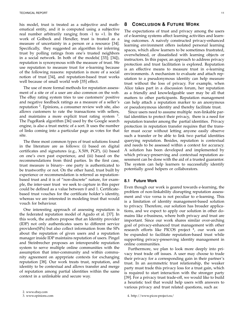his model, trust is treated as a subjective and mathematical entity, and it is computed using a subjective real number arbitrarily ranging from -1 to +1. In the work of Golbeck and Hendler, trust is treated as a measure of uncertainty in a person or a resource [34]. Specifically, they suggested an algorithm for inferring trust by polling ratings from one's trusted neighbors in a social network. In both of the models( [33]; [34]), reputation is synonymous with the measure of trust. We use reputation to measure trust for e-learning because of the following reasons: reputation is more of a social notion of trust [34], and reputation-based trust works well because of small world web [35] effect.

The use of more formal methods for reputation assessment of a site or of a user are also common on the web. The eBay rating system tries to use customers' positive and negative feedback ratings as a measure of a seller's reputation <sup>2</sup>. Epinions, a consumer review web site, also allows customers to rate the transactions with sellers, and maintains a more explicit trust rating system  $3$ . The PageRank algorithm [36] used by the Google search engine, is also a trust metric of a sort. It uses the number of links coming into a particular page as votes for that site.

The three most common types of trust solutions found in the literature are as follows: (i) based on digital certificates and signatures (e.g., X.509, PGP), (ii) based on one's own past experience, and (iii) based on the recommendations from third parties. In the first case, trust measure is binary– one party is authenticated to be trustworthy or not. On the other hand, trust built by experience or recommendation is referred as reputationbased trust and it is of "non-discrete" nature, for example, the inter-user trust we seek to capture in this paper could be defined as a value between 0 and 1. Certificatebased trust vouches for the certificate holder's identity, whereas we are interested in modeling trust that would vouch for behaviour.

One interesting approach of assessing reputation is the federated reputation model of Agudo et al. [37]. In this work, the authors propose that an Identity provider (IDP) not only authenticates users to different service providers(SPs) but also collect information from the SPs about the reputation of given users and a reputation manager inside IDP maintains reputation of users. Pingel and Steinbrecher proposes an interoperable reputation system to serve multiple online communities with the assumption that inter-community and within community agreement on apprpriate contexts for exchanging reputation [38]. Our work treats trust, reputation, and identity to be contextual and allows transfer and merge of reputation among partial identities within the same context in a unlinkable and secure way.

The expectations of trust and privacy among the users of e-learning systems affect learning activities and learning outcomes. A naively constructed privacy-enhanced learning environment offers isolated personal learning spaces, which allow learners to be sometimes frustrated, overwhelmed, or dissatisfied with learning objects or instructors. In this paper, an approach to address privacy protection and trust facilitation is explored. Reputation is an effective means to measure trust in e-learning environments. A mechanism to evaluate and attach reputation to a pseudonymous identity can help measure trust without the loss of privacy. For example, when Alice takes part in a discussion forum, her reputation as a friendly and knowledgeable user may be all that matters to other participants. Reputation management can help attach a reputation marker to an anonymous or pseudonymous identity and thereby facilitate trust.

Since users need to assume multiple non-linkable partial identities to protect their privacy, there is a need for reputation transfer among the partial identities. Privacy protection in reputation transfer requires that the transfer must occur without letting anyone easily observe such a transfer or be able to link two partial identities querying reputation. Besides, reputation is contextual and needs to be assessed within a context for accuracy. A solution has been developed and implemented by which privacy-preserving and contextual reputation assessment can be done with the aid of a trusted guarantor. The system can help learners to successfully identify potentially good helpers or collaborators.

#### **8.1 Future Work**

Even though our work is geared towards e-learning, the problem of non-linkability disrupting reputation assessment and vice versa is not peculiar to e-learning. This is a limitation of identity management-based solution to privacy. Therefore, our solution has broader applications, and we expect to apply our solution in other domains like e-business, where both privacy and trust are important. Since our work shares similar over-arching goal of privacy-enhanced trust management with other research efforts like PICOS project <sup>4</sup>, our work can be expanded to facilitate reputation-based trust while supporting privacy-preserving identity management in online communities.

Furthermore, we plan to look more deeply into privacy trust trade off issues. A user may choose to trade their privacy for a corresponding gain in their partner's trust. In an asymmetric trust relationship, the weaker party must trade this privacy loss for a trust gain, which is required to start interaction with the stronger party [39]. For a privacy trust trade-off, we would like to build a heuristic tool that would help users with answers to various privacy and trust related questions, such as:

<sup>3.</sup> www.epinions.com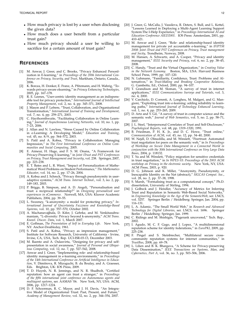- How much privacy is lost by a user when disclosing the given data?
- How much does a user benefit from a particular trust gain?
- How much privacy should a user be willing to sacrifice for a certain amount of trust gain?

#### **REFERENCES**

- [1] M. Anwar, J. Greer, and C. Brooks, "Privacy Enhanced Personlization in E-learning," in *Proceedings of the 2006 International Conference on Privacy, Security, and Trust*, Markham, Ontario, Canada., 2006.
- [2] K. Borcea, H. Donker, E. Franz, A. Pfitzmann, and H. Wahrig, "Towards privacy-aware elearning," in *Privacy Enhancing Technologies*, 2005, pp. 167–178.
- [3] R. E. Leenes, "User-centric identity management as an indispensable tool for privacy protection," *International Journal of Intellectual Property Management*, vol. 2, no. 4, pp. 345–371, 2008.
- J. Mason and P. Lefrere, "Trust, Collaboration, and Organisational Transformation," *International Journal of Training and Development*, vol. 7, no. 4, pp. 259–271, 2003.
- C. Haythornthwaite, "Facilitating Collaboration in Online Learning," *Journal of Asynchronous Learning Networks*, vol. 10, no. 1, pp. 7–23, 2006.
- [6] J. Allan and N. Lawless, "Stress Caused by Online Collaboration in e-Learning: A Developing Model," *Education and Training*, vol. 45, no. 8/9, pp. 564–572, 2003.
- S. Patil and A. Kobsa, "Privacy in Collaboration: Managing Impression," in *The First International Conference on Online Communities and Social Computing*, 2005.
- [8] E. Aimeur, H. Hage, and F. S. M. Onana, "A Framework for Privacy-Preserving E-learning," in *Joint iTrust and PST Conferences on Privacy, Trust Management and Security*, vol. 238. Springer, 2007, pp. 223–238.
- E. T. Bates and L. R. Wiest, "Impact of Personalization of Mathematical Word Problems on Student Performance," *The Mathematics Educator*, vol. 14, no. 2, pp. 17–26, 2004.
- [10] A. Kobsa and J. Schreck, "Privacy through pseudonymity in useradaptive systems," *ACM Trans. Internet Technol.*, vol. 3, no. 2, pp. 149–183, 2003.
- [11] P. Briggs, B. Simpson, and A. D. Angeli, "Personalisation and trust: a reciprocal relationship?" in *Designing personalized user experiences in eCommerce*. Norwell, MA, USA: Kluwer Academic Publishers, 2004, pp. 39–55.
- [12] L. Sweeney, "k-anonymity: a model for protecting privacy," *International Journal of Uncertainty Fuzziness and Knowledge-Based Systems*, vol. 10, pp. 557–570, October 2002.
- [13] A. Machanavajjhala, D. Kifer, J. Gehrke, and M. Venkitasubramaniam, "L-diversity: Privacy beyond k-anonymity," *ACM Trans. Knowl. Discov. Data*, vol. 1, March 2007.
- [14] E. Goffman, *The Presentation of Self in Everyday Life*. New York, NY: Anchor-Doubleday, 1961.
- [15] S. Patil and A. Kobsa, "Privacy as impression management," Institute for Software Research, University of California - Irvine, Irvine, CA, USA, Tech. Rep. UCI-ISR-03-13, December 2003.
- [16] M. Raento and A. Oulasvirta, "Designing for privacy and selfpresentation in social awareness," *Journal of Personal and Ubiquitous Computing*, vol. 12, no. 7, pp. 527–542, 2008.
- [17] Anwar and J. Greer, "Implementing role- and relationship-based identity management in e-learning environments," in *Proceedings of the 14th International Conference on Artificial Intelligence in Education*, V. Dimitrova, R. Mizoguchi, B. du Boulay, and A. Graesser, Eds. Brighton, UK: IOS Press, 2009.
- [18] T. D. Huynh, N. R. Jennings, and N. R. Shadbolt, "Certified reputation: how an agent can trust a stranger," in *Proceedings of the fifth international joint conference on Autonomous agents and multiagent systems*, ser. AAMAS '06. New York, NY, USA: ACM, 2006, pp. 1217–1224.
- [19] D. F. Schoorman, R. C. Mayer, and J. H. Davis, "An Integrative Model of Organizational Trust: Past, Present, and Future," *Academy of Management Review*, vol. 32, no. 2, pp. 344–354, 2007.
- [20] J. Greer, G. McCalla, J. Vassileva, R. Deters, S. Bull, and L. Kettel, "Lessons Learned in Deploying a Multi-Agent Learning Support System:The I-Help Experience," in *Proceedings International AI and Education Conference AIED2001*. IOS Press: Amsterdam, 2001, pp. 410–421.
- [21] M. Anwar and J. Greer, "Role- and relationship-based identity management for private yet accountable e-learning," in *IFIPTM 2008: Joint iTrust and PST Conferences on Privacy, Trust management and Secity*, Trondheim, Norway, 2008.
- [22] M. Hansen, A. Schwartz, and A. Cooper, "Privacy and identity management," *IEEE Security and Privacy*, vol. 6, no. 2, pp. 38–45, 2008.
- [23] C. Handy, "Trust and the Virtual Organization," in *Creating Value in the Network Economy*. Boston, MA, USA: Harvard Business School Press, 1999, pp. 107–120.
- [24] N. Luhmann, "Familiarity, Confidence, Trust: Problems and Alternatives," in *Trust:Making and Breaking Cooperative Relations*, G. Gambetta, Ed., Oxford, 2000, pp. 94–107.
- [25] T. Grandison and M. Sloman, "A survey of trust in internet applications," *IEEE Communications Surveys and Tutorials*, vol. 3, no. 4, 2000.
- [26] V. Carchiolo, D. Correnti, A. Longheu, M. Malgeri, and G. Mangioni, "Exploiting trust into e-learning: adding reliability to learning paths," *International Journal of Technology Enhanced Learning*, vol. 1, no. 4, pp. 253–265, 2009.
- [27] D. Artz and Y. Gil, "A survey of trust in computer science and the semantic web," *Journal of Web Semantics*, vol. 5, no. 2, pp. 58–71, 2007.
- [28] J. L. Steel, "Interpersonal Correlates of Trust and Self-Disclosure," *Psychological Reports*, vol. 68, pp. 1319–1320, 1991.
- [29] B. Friedman, P. H. K. Jr., and D. C. Howe, "Trust online," *Communication of ACM*, vol. 43, no. 12, pp. 34–40, 2000.
- [30] W. Nejdl, D. Olmedilla, and M. Winslett, "Peertrust: Automated trust negotiation for peers on the semantic web," in *In Proceedings of Workshop on Secure Data Management in a Connected World in conjunction with the 30th International Conference on Very Large Data Bases*, 2004, p. 118132.
- [31] T. Yu and M. Winslett, "Policy migration for sensitive credentials in trust negotiation," in *In WPES 03: Proceedings of the 2003 ACM workshop on Privacy in the electronic society*. New York, NY, USA: ACM Press, 2003, p. 920.
- [32] D. G. Johnson and K. Miller, "Anonymity, Pseudonymity, or Inescapable Identity on the Net (abstract)," *SIGCAS Comput. Soc.*, vol. 28, no. 2, pp. 37–38, 1998.
- [33] S. Marsh, "Formalising trust as a computational concept," Ph.D. dissertation, University of Stirling, 1994.
- [34] J. Golbeck and J. Hendler, "Accuracy of Metrics for Inferring Trust and Reputation in Semantic Web-Based Social Networks, in *Engineering Knowledge in the Age of the SemanticWeb*, ser. LNCS, vol. 3257. Springer Berlin / Heidelberg: Springer, Jan. 2004, pp. 116–131.
- [35] L. A. Adamic, "The Small World Web," in *Research and Advanced Technology for Digital Libraries*, ser. LNCS, vol. 1696. Springer Berlin / Heidelberg: Springer, Jan. 1999.
- [36] C. Ridings and M. Shishigin, "Pagerank uncovered," Tech. Rep., 2002.
- [37] I. Agudo, M. C. F. Gago, and J. Lopez, "A multidimensional reputation scheme for identity federations," in *EuroPKI*, 2009, pp. 225–238.
- [38] F. Pingel and S. Steinbrecher, "Multilateral secure crosscommunity reputation systems for internet communities," in *TrustBus*, 2008, pp. 69–78.
- [39] L. Lilien and B. K. Bhargava, "A Scheme for Privacy-preserving Data Dissemination," *IEEE Transactions on Systems, Man, and Cybernetics, Part A*, vol. 36, no. 3, pp. 503–506, 2006.